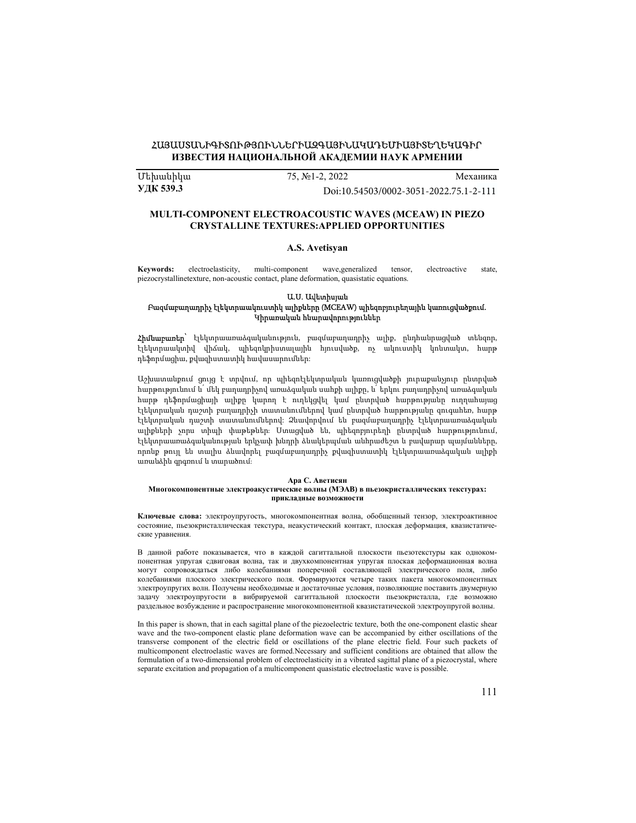# ՀԱՅԱՍՏԱՆԻԳԻՏՈՒԹՅՈՒՆՆԵՐԻԱԶԳԱՅԻՆԱԿԱԴԵՄԻԱՅԻՏԵՂԵԿԱԳԻՐ ИЗВЕСТИЯ НАЦИОНАЛЬНОЙ АКАДЕМИИ НАУК АРМЕНИИ

U եխանիկա 75, №1-2, 2022 Механика<br>1998 УДК 539.3 1.2.2022 Механика

УДК 539.3 Doi[:10.54503/0002-3051-2022.75.1-2-111](https://doi.org/10.54503/0002-3051-2022.75.1-2-111)

## MULTI-COMPONENT ELECTROACOUSTIC WAVES (MCEAW) IN PIEZO CRYSTALLINE TEXTURES:APPLIED OPPORTUNITIES

# A.S. Avetisyan

Keywords: electroelasticity, multi-component wave,generalized tensor, electroactive state, piezocrystallinetexture, non-acoustic contact, plane deformation, quasistatic equations.

## Ա.Ս. Ավետիսյան

## Բազմաբաղադրիչ էլեկտրաակուստիկ ալիքները (MCEAW) պիեզոբյուրեղային կառուցվածքում. Կիրառական հնարավորություններ

Հիմնաբառեր՝ էլեկտրաառաձգականություն, բազմաբաղադրիչ ալիք, ընդհանրացված տենզոր, էլեկտրաակտիվ վիճակ, պիեզոկրիստալային հյուսվածք, ոչ ակուստիկ կոնտակտ, հարթ դեֆորմացիա, քվազիստատիկ հավասարումներ:

Աշխատանքում ցույց է տրվում, որ պիեզոէլեկտրական կառուցվածքի յուրաքանչյուր ընտրված հարթությունում և՛ մեկ բաղադրիչով առաձգական սահքի ալիքը, և՛ երկու բաղադրիչով առաձգական հարթ դեֆորմացիայի ալիքը կարող է ուղեկցվել կամ ընտրված հարթությանը ուղղահայաց էլեկտրական դաշտի բաղադրիչի տատանումներով կամ ընտրված հարթությանը զուգահեռ, հարթ էլեկտրական դաշտի տատանումներով: Ձևավորվում են բազմաբաղադրիչ էլեկտրաառաձգական ալիքների չորս տիպի փաթեթներ։ Ստացված են, պիեզոբյուրեղի ընտրված հարթությունում, էլեկտրաառաձգականության երկչափ խնդրի ձևակերպման անհրաժեշտ և բավարար պայմանները, որոնք թույլ են տալիս ձևավորել բազմաբաղադրիչ քվազիստատիկ էլեկտրաառաձգական ալիքի առանձին գրգռում և տարածում։

#### Ара С. Аветисян

#### Многокомпонентные электроакустические волны (МЭАВ) в пьезокристаллических текстурах: прикладные возможности

Ключевые слова: электроупругость, многокомпонентная волна, обобщенный тензор, электроактивное состояние, пьезокристаллическая текстура, неакустический контакт, плоская деформация, квазистатические уравнения.

В данной работе показывается, что в каждой сагиттальной плоскости пьезотекстуры как однокомпонентная упругая сдвиговая волна, так и двухкомпонентная упругая плоская деформационная волна могут сопровождаться либо колебаниями поперечной составляющей электрического поля, либо колебаниями плоского электрического поля. Формируются четыре таких пакета многокомпонентных электроупругих волн. Получены необходимые и достаточные условия, позволяющие поставить двумерную задачу электроупругости в вибрируемой сагиттальной плоскости пьезокристалла, где возможно раздельное возбуждение и распространение многокомпонентной квазистатической электроупругой волны.

In this paper is shown, that in each sagittal plane of the piezoelectric texture, both the one-component elastic shear wave and the two-component elastic plane deformation wave can be accompanied by either oscillations of the transverse component of the electric field or oscillations of the plane electric field. Four such packets of multicomponent electroelastic waves are formed.Necessary and sufficient conditions are obtained that allow the formulation of a two-dimensional problem of electroelasticity in a vibrated sagittal plane of a piezocrystal, where separate excitation and propagation of a multicomponent quasistatic electroelastic wave is possible.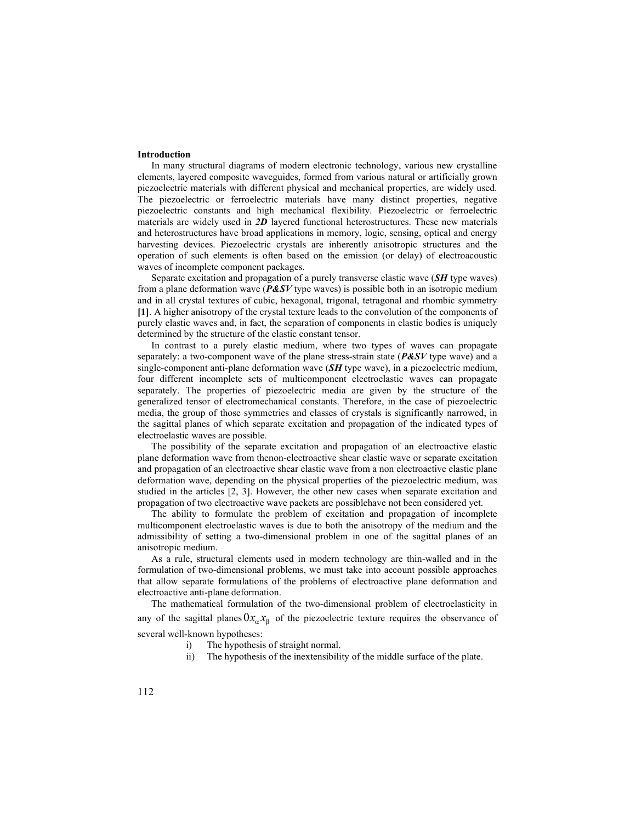### Introduction

In many structural diagrams of modern electronic technology, various new crystalline elements, layered composite waveguides, formed from various natural or artificially grown piezoelectric materials with different physical and mechanical properties, are widely used. The piezoelectric or ferroelectric materials have many distinct properties, negative piezoelectric constants and high mechanical flexibility. Piezoelectric or ferroelectric materials are widely used in  $2D$  layered functional heterostructures. These new materials and heterostructures have broad applications in memory, logic, sensing, optical and energy harvesting devices. Piezoelectric crystals are inherently anisotropic structures and the operation of such elements is often based on the emission (or delay) of electroacoustic waves of incomplete component packages.

Separate excitation and propagation of a purely transverse elastic wave (SH type waves) from a plane deformation wave ( $P\&SV$  type waves) is possible both in an isotropic medium and in all crystal textures of cubic, hexagonal, trigonal, tetragonal and rhombic symmetry [1]. A higher anisotropy of the crystal texture leads to the convolution of the components of purely elastic waves and, in fact, the separation of components in elastic bodies is uniquely determined by the structure of the elastic constant tensor.

In contrast to a purely elastic medium, where two types of waves can propagate separately: a two-component wave of the plane stress-strain state ( $P\&S$ V type wave) and a single-component anti-plane deformation wave  $(SH$  type wave), in a piezoelectric medium, four different incomplete sets of multicomponent electroelastic waves can propagate separately. The properties of piezoelectric media are given by the structure of the generalized tensor of electromechanical constants. Therefore, in the case of piezoelectric media, the group of those symmetries and classes of crystals is significantly narrowed, in the sagittal planes of which separate excitation and propagation of the indicated types of electroelastic waves are possible.

The possibility of the separate excitation and propagation of an electroactive elastic plane deformation wave from thenon-electroactive shear elastic wave or separate excitation and propagation of an electroactive shear elastic wave from a non electroactive elastic plane deformation wave, depending on the physical properties of the piezoelectric medium, was studied in the articles [2, 3]. However, the other new cases when separate excitation and propagation of two electroactive wave packets are possiblehave not been considered yet.

The ability to formulate the problem of excitation and propagation of incomplete multicomponent electroelastic waves is due to both the anisotropy of the medium and the admissibility of setting a two-dimensional problem in one of the sagittal planes of an anisotropic medium.

As a rule, structural elements used in modern technology are thin-walled and in the formulation of two-dimensional problems, we must take into account possible approaches that allow separate formulations of the problems of electroactive plane deformation and electroactive anti-plane deformation.

The mathematical formulation of the two-dimensional problem of electroelasticity in any of the sagittal planes  $0x_{\alpha}x_{\beta}$  of the piezoelectric texture requires the observance of several well-known hypotheses:

- i) The hypothesis of straight normal.
- ii) The hypothesis of the inextensibility of the middle surface of the plate.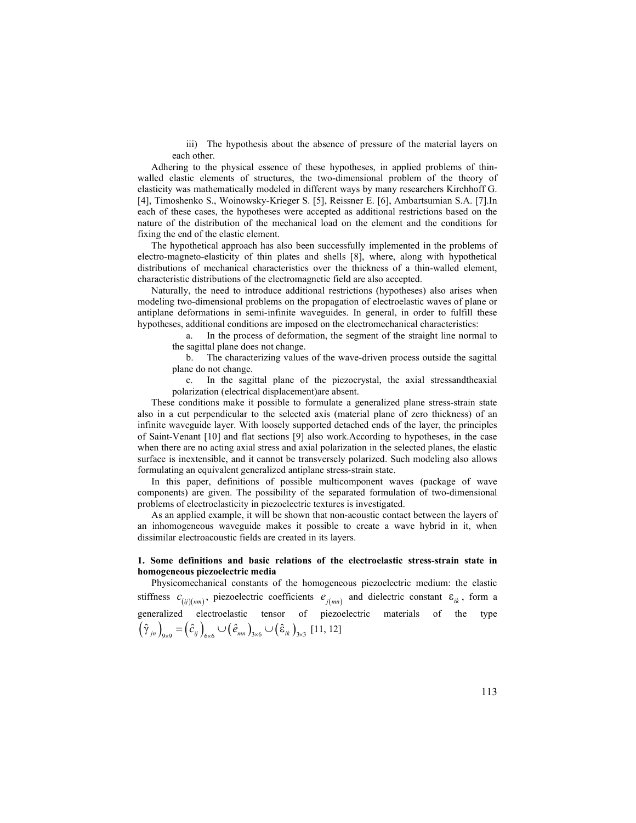iii) The hypothesis about the absence of pressure of the material layers on each other.

Adhering to the physical essence of these hypotheses, in applied problems of thinwalled elastic elements of structures, the two-dimensional problem of the theory of elasticity was mathematically modeled in different ways by many researchers Kirchhoff G. [4], Timoshenko S., Woinowsky-Krieger S. [5], Reissner E. [6], Ambartsumian S.А. [7].In each of these cases, the hypotheses were accepted as additional restrictions based on the nature of the distribution of the mechanical load on the element and the conditions for fixing the end of the elastic element.

The hypothetical approach has also been successfully implemented in the problems of electro-magneto-elasticity of thin plates and shells [8], where, along with hypothetical distributions of mechanical characteristics over the thickness of a thin-walled element, characteristic distributions of the electromagnetic field are also accepted.

Naturally, the need to introduce additional restrictions (hypotheses) also arises when modeling two-dimensional problems on the propagation of electroelastic waves of plane or antiplane deformations in semi-infinite waveguides. In general, in order to fulfill these hypotheses, additional conditions are imposed on the electromechanical characteristics:

a. In the process of deformation, the segment of the straight line normal to the sagittal plane does not change.

b. The characterizing values of the wave-driven process outside the sagittal plane do not change.

c. In the sagittal plane of the piezocrystal, the axial stressandtheaxial polarization (electrical displacement)are absent.

These conditions make it possible to formulate a generalized plane stress-strain state also in a cut perpendicular to the selected axis (material plane of zero thickness) of an infinite waveguide layer. With loosely supported detached ends of the layer, the principles of Saint-Venant [10] and flat sections [9] also work.According to hypotheses, in the case when there are no acting axial stress and axial polarization in the selected planes, the elastic surface is inextensible, and it cannot be transversely polarized. Such modeling also allows formulating an equivalent generalized antiplane stress-strain state. stytomess, summant constants are inposed of the receiver entant cancelectric and the significal plane of the significal plane of the significal plane of the significal plane of the significal plane of the piezoerystal, th

In this paper, definitions of possible multicomponent waves (package of wave components) are given. The possibility of the separated formulation of two-dimensional problems of electroelasticity in piezoelectric textures is investigated.

As an applied example, it will be shown that non-acoustic contact between the layers of an inhomogeneous waveguide makes it possible to create a wave hybrid in it, when dissimilar electroacoustic fields are created in its layers.

# 1. Some definitions and basic relations of the electroelastic stress-strain state in homogeneous piezoelectric media

Physicomechanical constants of the homogeneous piezoelectric medium: the elastic generalized electroelastic tensor of piezoelectric materials of the type  $(\hat{\gamma}_{j_n})_{9\times 9} = (\hat{c}_{ij})_{6\times 6} \cup (\hat{e}_{mn})_{3\times 6} \cup (\hat{\epsilon}_{ik})_{3\times 3}$  [11, 12]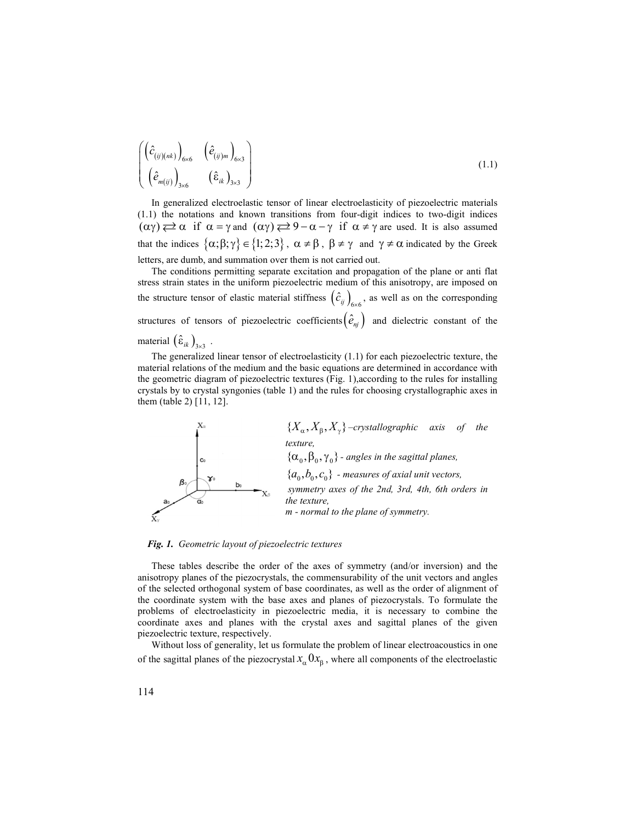$$
\begin{pmatrix}\n\left(\hat{c}_{(ij)(nk)}\right)_{6\times6} & \left(\hat{e}_{(ij)m}\right)_{6\times3} \\
\left(\hat{e}_{m(ij)}\right)_{3\times6} & \left(\hat{e}_{ik}\right)_{3\times3}\n\end{pmatrix}
$$
\nIn generalized electroelastic tensor of linear electroelasticity of piezoelectric materials\n(1.1) the notations and known transitions from four-digit indices to two-digit indices\n(0x)  $\overrightarrow{c} \alpha$  if  $\alpha = \gamma$  and  $(\alpha\gamma) \overrightarrow{c} = 9 - \alpha - \gamma$  if  $\alpha \neq \gamma$  are used. It is also assumed\nthat the indices  $\{ \alpha : \beta : \alpha \in \mathbb{R}^2 \mid 0 \leq j \leq 1 \} \subset \mathbb{R}$ ,  $\beta \neq \gamma$  and  $\gamma \neq \alpha$  indicated by the Greek

 $\begin{pmatrix} \hat{e}_{(i)m} \end{pmatrix}_{6\times 3}$ <br>  $\begin{pmatrix} \hat{e}_{(i)m} \end{pmatrix}_{3\times 3}$ <br>
3×6  $\begin{pmatrix} \hat{e}_{ik} \end{pmatrix}_{3\times 3}$  (1.1)<br>
3×6 1328 electroclastic tensor of linear electroclasticity of piezoelectric materials<br>
notations and known transitions f  $(\hat{e}_{(ij)m})_{(6\times6)}$   $(\hat{e}_{(ij)m})_{(6\times3)}$  (1.1)<br>  $(m_{(ij)})_{3\times6}$   $(\hat{e}_{ik})_{3\times3}$  (1.1)<br>
generalized electroelastic tensor of linear electroelasticity of piezoelectric materials<br>
the notations and known transitions from four-dig  $\left(\hat{c}_{(ij)(nk)}\right)_{6\times 6}$   $(\hat{e}_{(ij)m})_{6\times 3}$ <br>  $(\hat{e}_{m(j)})_{3\times 6}$   $(\hat{e}_{ik})_{3\times 3}$ <br>
In generalized electroelastic tensor of linear electroelasticity of piezoelectric materials<br>  $(11)$  the notations and known transitions from In generalized electroelastic tensor of linear electroelasticity of piezoelectric materials (1.1) the notations and known transitions from four-digit indices to two-digit indices  $\left( \hat{c}_{(i)(i\omega)} \right)_{\text{tot}} \left( \hat{c}_{(i)(i\omega)} \right)_{\text{tot}}$   $\left( \hat{c}_{\alpha(i)} \right)_{\text{tot}}$  (3.1)<br>
In generalized electroclastic tensor of linear electroclasticity of piezoelectric materials<br>
In generalized electroclastic tensor of linear  $\left( \hat{c}_{(ij)\mu}) \right)_{6\alpha 6} \left( \hat{e}_{(ij)\mu} \right)_{6\alpha 3}$  (1.1)<br>  $\left( \hat{e}_{\alpha (ij)} \right)_{3\alpha 6} \left( \hat{e}_{ik} \right)_{3\alpha 3}$  (1.1)<br>
In generalized electroclastic tensor of linear chetroclasticity of piezoelectric materials<br>  $(\alpha \gamma) \rightleftarrows \alpha$  if  $\$ letters, are dumb, and summation over them is not carried out.

The conditions permitting separate excitation and propagation of the plane or anti flat stress strain states in the uniform piezoelectric medium of this anisotropy, are imposed on  $\left(\hat{\ell}_{(p)(m)})\right)_{666}$   $(\hat{\ell}_{(p)m})_{663}$  ( $\hat{\ell}_{(n/pm})_{664}$  (1.1)<br>
In gonstalized electroclastic tensor of linear electroclasticity of piezoelectric materials<br>  $(1.1)$  the notations and known transitions from four-digit in  $\hat{c}_{ij}$   $\bigg|_{6\times 6}$ , as well as on the corresponding structures of tensors of piezoelectric coefficients $(\hat{e}_{nj})$  and dielectric constant of the  $\left(\hat{c}_{(0)(\text{st})}\right)_{0,\text{st}}$   $(\hat{e}_{(0)\text{m}})_{\text{tot}}$  ( $\hat{e}_{(0)\text{m}}$ ) (1.1)<br>  $\left(\hat{e}_{\text{m}(ij)}\right)_{3,\text{st}}$  ( $\hat{e}_{ik}\right)_{3,\text{3}}$  (1.1)<br>
In generalized electroclastic tensor of linear electroclasticity of piezoelectric materials<br> material  $(\hat{\epsilon}_{ik})_{3\times 3}$ . ik  $J_{3\times 3}$   $\cdot$ 

 . The generalized linear tensor of electroelasticity (1.1) for each piezoelectric texture, the material relations of the medium and the basic equations are determined in accordance with the geometric diagram of piezoelectric textures (Fig. 1),according to the rules for installing crystals by to crystal syngonies (table 1) and the rules for choosing crystallographic axes in them (table 2) [11, 12].



Fig. 1. Geometric layout of piezoelectric textures

These tables describe the order of the axes of symmetry (and/or inversion) and the anisotropy planes of the piezocrystals, the commensurability of the unit vectors and angles of the selected orthogonal system of base coordinates, as well as the order of alignment of the coordinate system with the base axes and planes of piezocrystals. To formulate the problems of electroelasticity in piezoelectric media, it is necessary to combine the coordinate axes and planes with the crystal axes and sagittal planes of the given piezoelectric texture, respectively.

Without loss of generality, let us formulate the problem of linear electroacoustics in one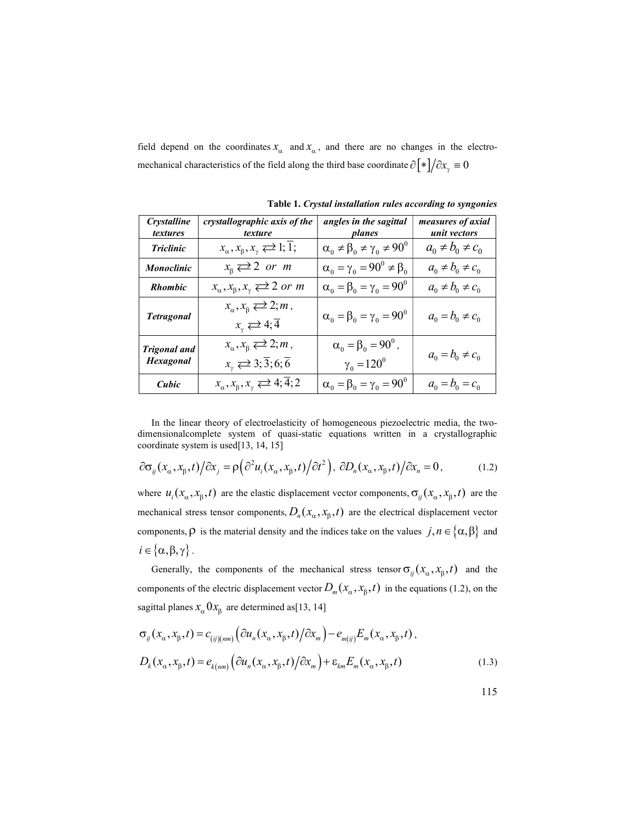field depend on the coordinates  $x_{\alpha}$  and  $x_{\alpha}$ , and there are no changes in the electromechanical characteristics of the field along the third base coordinate  $\partial \psi / \partial x$  = 0

| <b>Crystalline</b><br><i>textures</i> | crystallographic axis of the<br>texture                                                                           | angles in the sagittal<br>planes                                                                                           | <i>measures of axial</i><br>unit vectors |
|---------------------------------------|-------------------------------------------------------------------------------------------------------------------|----------------------------------------------------------------------------------------------------------------------------|------------------------------------------|
| <b>Triclinic</b>                      | $x_{\alpha}, x_{\beta}, x_{\gamma} \rightleftarrows 1; \overline{1};$                                             | $\alpha_0 \neq \beta_0 \neq \gamma_0 \neq 90^\circ$                                                                        | $a_0 \neq b_0 \neq c_0$                  |
| Monoclinic                            | $x_{\scriptscriptstyle\beta} \rightleftarrows 2 \text{ or } m$                                                    | $\alpha_0 = \gamma_0 = 90^0 \neq \beta_0$                                                                                  | $a_0 \neq b_0 \neq c_0$                  |
| <b>Rhombic</b>                        | $x_{\alpha}, x_{\beta}, x_{\gamma} \rightleftarrows 2 \text{ or } m$                                              | $\alpha_0 = \beta_0 = \gamma_0 = 90^0$                                                                                     | $a_0 \neq b_0 \neq c_0$                  |
| <b>Tetragonal</b>                     | $x_{\alpha}, x_{\beta} \rightleftarrows 2; m$ ,<br>$x_{\gamma} \rightleftarrows 4; \overline{4}$                  | $\alpha_{\scriptscriptstyle 0} = \beta_{\scriptscriptstyle 0} = \gamma_{\scriptscriptstyle 0} = 90^{\scriptscriptstyle 0}$ | $a_0 = b_0 \neq c_0$                     |
| Trigonal and<br><b>Hexagonal</b>      | $x_{\alpha}, x_{\beta} \rightleftarrows 2; m$ ,<br>$x_{\gamma} \rightleftarrows 3; \overline{3}; 6; \overline{6}$ | $\alpha_0 = \beta_0 = 90^0$ ,<br>$\gamma_0 = 120^0$                                                                        | $a_0 = b_0 \neq c_0$                     |
| Cubic                                 | $x_{\alpha}, x_{\beta}, x_{\gamma} \rightleftarrows 4; \overline{4}; 2$                                           | $\alpha_0 = \beta_0 = \gamma_0 = 90^0$                                                                                     | $a_0 = b_0 = c_0$                        |

Table 1. Crystal installation rules according to syngonies

In the linear theory of electroelasticity of homogeneous piezoelectric media, the twodimensionalcomplete system of quasi-static equations written in a crystallographic coordinate system is used[13, 14, 15]

$$
\partial \sigma_{ij}(x_{\alpha}, x_{\beta}, t) / \partial x_j = \rho \left( \partial^2 u_i(x_{\alpha}, x_{\beta}, t) / \partial t^2 \right), \, \partial D_n(x_{\alpha}, x_{\beta}, t) / \partial x_n = 0, \tag{1.2}
$$

where  $u_i$ ( $x_\alpha, x_\beta, t$ ) are the elastic displacement vector components,  $\sigma_{ij}$ ( $x_\alpha, x_\beta, t$ ) are the mechanical stress tensor components,  $D_n(x_\alpha, x_\beta, t)$  are the electrical displacement vector components,  $\rho$  is the material density and the indices take on the values  $j, n \in \{\alpha, \beta\}$  and  $i \in {\alpha, \beta, \gamma}$ . (*x, x, x, x*, i) (*x, x, x, x, x*)) (*x, x, x, x, x)*) (*x, x, x, x)*) (*x, x, x, x)*) (*x, x, x, x, x)*) (*x, x, x, x, x)*) (*x, x, x, x)*) (*x, x, x, x)*) (*x, x, x, x)*) (*x, x, x, x)*) (*x*) are the classic discrimet

Generally, the components of the mechanical stress tensor  $\sigma_{ij}(x_\alpha, x_\beta, t)$  and the components of the electric displacement vector  $D_m(x_\alpha, x_\beta, t)$  in the equations (1.2), on the sagittal planes  $x_{\alpha}$   $0x_{\beta}$  are determined as[13, 14]

$$
\sigma_{ij}(x_{\alpha}, x_{\beta}, t) = c_{(ij)(nm)} (\partial u_n(x_{\alpha}, x_{\beta}, t) / \partial x_m) - e_{m(i)} E_m(x_{\alpha}, x_{\beta}, t),
$$
  

$$
D_k(x_{\alpha}, x_{\beta}, t) = e_{k(nm)} (\partial u_n(x_{\alpha}, x_{\beta}, t) / \partial x_m) + \varepsilon_{km} E_m(x_{\alpha}, x_{\beta}, t)
$$
(1.3)

115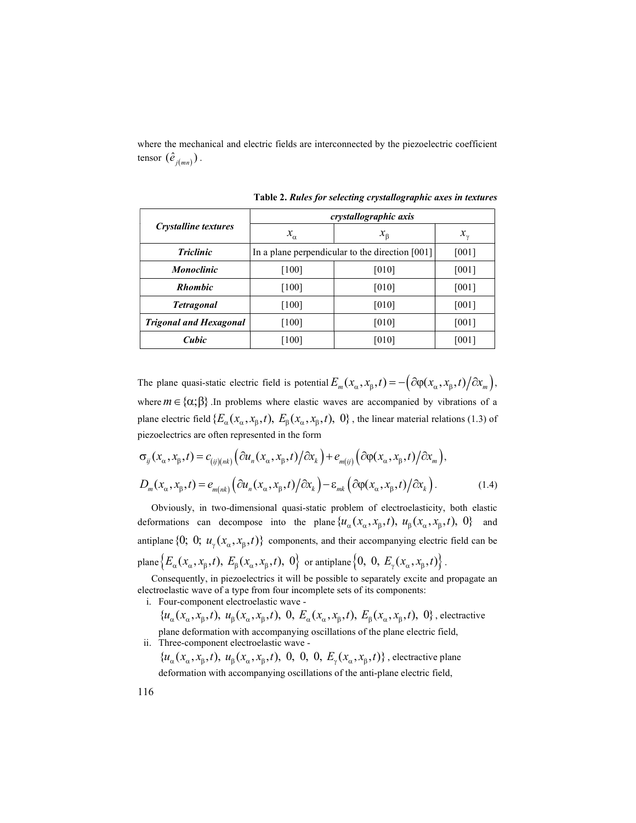where the mechanical and electric fields are interconnected by the piezoelectric coefficient where the mechanical and electric fields are interconnected by the piezoelectric coefficient<br>tensor  $(\hat{e}_{j(mn)})$ .<br>Table 2. Rules for selecting crystallographic axes in textures<br>crystallographic axis tensor  $(\hat{e}_{i(mn)})$ .

|                                                                                                                                                                                                                                                                                                                                                                                                                                                                         | crystallographic axis                           |             |              |
|-------------------------------------------------------------------------------------------------------------------------------------------------------------------------------------------------------------------------------------------------------------------------------------------------------------------------------------------------------------------------------------------------------------------------------------------------------------------------|-------------------------------------------------|-------------|--------------|
| <b>Crystalline textures</b>                                                                                                                                                                                                                                                                                                                                                                                                                                             | $x_{\alpha}$                                    | $x_{\beta}$ | $x_{\gamma}$ |
| <b>Triclinic</b>                                                                                                                                                                                                                                                                                                                                                                                                                                                        | In a plane perpendicular to the direction [001] |             | [001]        |
| <b>Monoclinic</b>                                                                                                                                                                                                                                                                                                                                                                                                                                                       | [100]                                           | [010]       | [001]        |
| <b>Rhombic</b>                                                                                                                                                                                                                                                                                                                                                                                                                                                          | $[100]$                                         | [010]       | [001]        |
| <b>Tetragonal</b>                                                                                                                                                                                                                                                                                                                                                                                                                                                       | $[100]$                                         | [010]       | [001]        |
| <b>Trigonal and Hexagonal</b>                                                                                                                                                                                                                                                                                                                                                                                                                                           | $[100]$                                         | [010]       | [001]        |
| Cubic                                                                                                                                                                                                                                                                                                                                                                                                                                                                   | [100]                                           | [010]       | [001]        |
|                                                                                                                                                                                                                                                                                                                                                                                                                                                                         |                                                 |             |              |
| The plane quasi-static electric field is potential $E_m(x_\alpha, x_\beta, t) = -\left(\frac{\partial \varphi(x_\alpha, x_\beta, t)}{\partial x_m}\right),$<br>where $m \in \{\alpha, \beta\}$ . In problems where elastic waves are accompanied by vibrations of a<br>plane electric field $\{E_{\alpha}(x_{\alpha},x_{\beta},t), E_{\beta}(x_{\alpha},x_{\beta},t), 0\}$ , the linear material relations (1.3) of<br>piezoelectrics are often represented in the form |                                                 |             |              |
|                                                                                                                                                                                                                                                                                                                                                                                                                                                                         |                                                 |             |              |
| $\sigma_{ii}(x_{\alpha},x_{\beta},t) = c_{(ii)(nk)}(\partial u_n(x_{\alpha},x_{\beta},t)/\partial x_k) + e_{m(ii)}(\partial \varphi(x_{\alpha},x_{\beta},t)/\partial x_m),$<br>$D_m(x_\alpha, x_\beta, t) = e_{m(nk)} \left( \frac{\partial u_n(x_\alpha, x_\beta, t)}{\partial x_k} \right) - \varepsilon_{mk} \left( \frac{\partial \varphi(x_\alpha, x_\beta, t)}{\partial x_k} \right).$                                                                            |                                                 |             | (1.4)        |
| Obviously, in two-dimensional quasi-static problem of electroelasticity, both elastic<br>deformations can decompose into the plane $\{u_{\alpha}(x_{\alpha}, x_{\beta}, t), u_{\beta}(x_{\alpha}, x_{\beta}, t), 0\}$                                                                                                                                                                                                                                                   |                                                 |             | and          |

Table 2. Rules for selecting crystallographic axes in textures

$$
\sigma_{ij}(x_{\alpha}, x_{\beta}, t) = c_{(ij)(nk)} \left( \frac{\partial u_n(x_{\alpha}, x_{\beta}, t)}{\partial x_k} \right) + e_{m(ij)} \left( \frac{\partial \varphi(x_{\alpha}, x_{\beta}, t)}{\partial x_m} \right),
$$
  

$$
D_m(x_{\alpha}, x_{\beta}, t) = e_{m(nk)} \left( \frac{\partial u_n(x_{\alpha}, x_{\beta}, t)}{\partial x_k} \right) - \varepsilon_{mk} \left( \frac{\partial \varphi(x_{\alpha}, x_{\beta}, t)}{\partial x_k} \right).
$$
 (1.4)

Obviously, in two-dimensional quasi-static problem of electroelasticity, both elastic deformations can decompose into the plane  $\{u_{\alpha}(x_{\alpha}, x_{\beta}, t), u_{\beta}(x_{\alpha}, x_{\beta}, t), 0\}$  and antiplane  $\{0; 0; u_{\gamma}(x_{\alpha}, x_{\beta}, t)\}$  components, and their accompanying electric field can be plane  $\left\{E_{\alpha}(x_{\alpha}, x_{\beta}, t), E_{\beta}(x_{\alpha}, x_{\beta}, t), 0\right\}$  or antiplane  $\left\{0, 0, E_{\gamma}(x_{\alpha}, x_{\beta}, t)\right\}$ .

Consequently, in piezoelectrics it will be possible to separately excite and propagate an electroelastic wave of a type from four incomplete sets of its components:

i. Four-component electroelastic wave -

 ${u_\alpha(x_\alpha, x_\beta, t), u_\beta(x_\alpha, x_\beta, t), 0, E_\alpha(x_\alpha, x_\beta, t), E_\beta(x_\alpha, x_\beta, t), 0},$  electractive plane deformation with accompanying oscillations of the plane electric field, ii. Three-component electroelastic wave -

 ${u_{\alpha}(x_{\alpha}, x_{\beta}, t), u_{\beta}(x_{\alpha}, x_{\beta}, t), 0, 0, 0, E_{\gamma}(x_{\alpha}, x_{\beta}, t)}$ , electractive plane deformation with accompanying oscillations of the anti-plane electric field,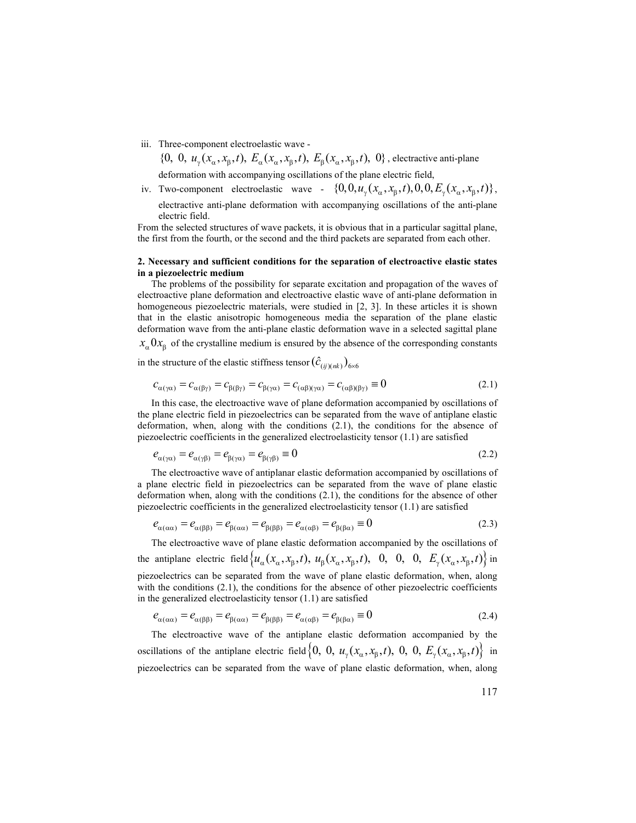iii. Three-component electroelastic wave -

 $\{0, 0, u_{\gamma}(x_{\alpha}, x_{\beta}, t), E_{\alpha}(x_{\alpha}, x_{\beta}, t), E_{\beta}(x_{\alpha}, x_{\beta}, t), 0\}$ , electractive anti-plane deformation with accompanying oscillations of the plane electric field,

iv. Two-component electroelastic wave -  $\{0, 0, u_{\nu}(x_{\alpha}, x_{\beta}, t), 0, 0, E_{\nu}(x_{\alpha}, x_{\beta}, t)\},$ electractive anti-plane deformation with accompanying oscillations of the anti-plane electric field.

From the selected structures of wave packets, it is obvious that in a particular sagittal plane, the first from the fourth, or the second and the third packets are separated from each other.

#### 2. Necessary and sufficient conditions for the separation of electroactive elastic states in a piezoelectric medium

The problems of the possibility for separate excitation and propagation of the waves of electroactive plane deformation and electroactive elastic wave of anti-plane deformation in homogeneous piezoelectric materials, were studied in [2, 3]. In these articles it is shown that in the elastic anisotropic homogeneous media the separation of the plane elastic deformation wave from the anti-plane elastic deformation wave in a selected sagittal plane

 $x_{\alpha}$ ,  $0x_{\beta}$  of the crystalline medium is ensured by the absence of the corresponding constants

in the structure of the elastic stiffness tensor  $(\hat{c}_{(ij)(nk)})_{6\times 6}$ 

$$
c_{\alpha(\gamma\alpha)} = c_{\alpha(\beta\gamma)} = c_{\beta(\beta\gamma)} = c_{\beta(\gamma\alpha)} = c_{(\alpha\beta)(\gamma\alpha)} = c_{(\alpha\beta)(\beta\gamma)} \equiv 0 \tag{2.1}
$$

In this case, the electroactive wave of plane deformation accompanied by oscillations of the plane electric field in piezoelectrics can be separated from the wave of antiplane elastic deformation, when, along with the conditions (2.1), the conditions for the absence of piezoelectric coefficients in the generalized electroelasticity tensor (1.1) are satisfied

$$
e_{\alpha(\gamma\alpha)} = e_{\alpha(\gamma\beta)} = e_{\beta(\gamma\alpha)} = e_{\beta(\gamma\beta)} \equiv 0
$$
\n(2.2)

The electroactive wave of antiplanar elastic deformation accompanied by oscillations of a plane electric field in piezoelectrics can be separated from the wave of plane elastic deformation when, along with the conditions (2.1), the conditions for the absence of other piezoelectric coefficients in the generalized electroelasticity tensor (1.1) are satisfied

$$
e_{\alpha(\alpha\alpha)} = e_{\alpha(\beta\beta)} = e_{\beta(\alpha\alpha)} = e_{\beta(\beta\beta)} = e_{\alpha(\alpha\beta)} = e_{\beta(\beta\alpha)} \equiv 0
$$
\n(2.3)

The electroactive wave of plane elastic deformation accompanied by the oscillations of the antiplane electric field  $\{u_\alpha(x_\alpha, x_\beta, t), u_\beta(x_\alpha, x_\beta, t), 0, 0, 0, E_\gamma(x_\alpha, x_\beta, t)\}\$ in piezoelectrics can be separated from the wave of plane elastic deformation, when, along with the conditions (2.1), the conditions for the absence of other piezoelectric coefficients in the generalized electroelasticity tensor (1.1) are satisfied

$$
e_{\alpha(\alpha\alpha)} = e_{\alpha(\beta\beta)} = e_{\beta(\alpha\alpha)} = e_{\beta(\beta\beta)} = e_{\alpha(\alpha\beta)} = e_{\beta(\beta\alpha)} \equiv 0
$$
\n(2.4)

The electroactive wave of the antiplane elastic deformation accompanied by the oscillations of the antiplane electric field  $\{0, 0, u_{\gamma}(x_{\alpha}, x_{\beta}, t), 0, 0, E_{\gamma}(x_{\alpha}, x_{\beta}, t)\}\$ in piezoelectrics can be separated from the wave of plane elastic deformation, when, along

117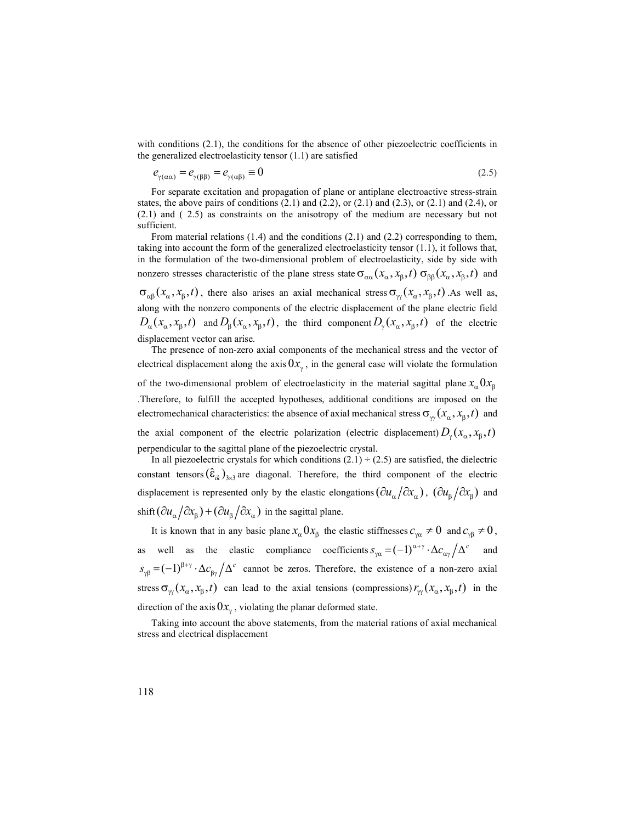with conditions (2.1), the conditions for the absence of other piezoelectric coefficients in the generalized electroelasticity tensor (1.1) are satisfied

$$
e_{\gamma(\alpha\alpha)} = e_{\gamma(\beta\beta)} = e_{\gamma(\alpha\beta)} \equiv 0 \tag{2.5}
$$

For separate excitation and propagation of plane or antiplane electroactive stress-strain states, the above pairs of conditions  $(2.1)$  and  $(2.2)$ , or  $(2.1)$  and  $(2.3)$ , or  $(2.1)$  and  $(2.4)$ , or (2.1) and ( 2.5) as constraints on the anisotropy of the medium are necessary but not sufficient.

From material relations  $(1.4)$  and the conditions  $(2.1)$  and  $(2.2)$  corresponding to them, taking into account the form of the generalized electroelasticity tensor (1.1), it follows that, in the formulation of the two-dimensional problem of electroelasticity, side by side with nonzero stresses characteristic of the plane stress state  $\sigma_{aa}(x_a, x_b, t)$   $\sigma_{ba}(x_a, x_b, t)$  and  $\sigma_{\alpha\beta}(x_\alpha, x_\beta, t)$ , there also arises an axial mechanical stress  $\sigma_{\gamma}(x_\alpha, x_\beta, t)$ . As well as, along with the nonzero components of the electric displacement of the plane electric field  $D_{\alpha}(x_{\alpha}, x_{\beta}, t)$  and  $D_{\beta}(x_{\alpha}, x_{\beta}, t)$ , the third component  $D_{\gamma}(x_{\alpha}, x_{\beta}, t)$  of the electric displacement vector can arise.

The presence of non-zero axial components of the mechanical stress and the vector of electrical displacement along the axis  $0x_{\gamma}$ , in the general case will violate the formulation of the two-dimensional problem of electroelasticity in the material sagittal plane  $x_{\alpha}^0 0x_{\beta}$ .Therefore, to fulfill the accepted hypotheses, additional conditions are imposed on the electromechanical characteristics: the absence of axial mechanical stress  $\sigma_{\gamma}(x_{\alpha}, x_{\beta}, t)$  and the axial component of the electric polarization (electric displacement)  $D_{\gamma}(x_{\alpha}, x_{\beta}, t)$ perpendicular to the sagittal plane of the piezoelectric crystal.

In all piezoelectric crystals for which conditions  $(2.1) \div (2.5)$  are satisfied, the dielectric constant tensors  $(\hat{\epsilon}_{ik})_{3\times 3}$  are diagonal. Therefore, the third component of the electric displacement is represented only by the elastic elongations  $(\partial u_\alpha/\partial x_\alpha)$ ,  $(\partial u_\beta/\partial x_\beta)$  and shift  $(\partial u_{\alpha}/\partial x_{\beta}) + (\partial u_{\beta}/\partial x_{\alpha})$  in the sagittal plane.

It is known that in any basic plane  $x_{\alpha}$   $0x_{\beta}$  the elastic stiffnesses  $c_{\gamma\alpha} \neq 0$  and  $c_{\gamma\beta} \neq 0$ , as well as the elastic compliance coefficients  $s_{\gamma\alpha} = (-1)^{\alpha+\gamma} \cdot \Delta c_{\alpha\gamma}/\Delta^c$  and  $s_{\gamma\beta} = (-1)^{\beta+\gamma} \cdot \Delta c_{\beta\gamma}/\Delta^c$  cannot be zeros. Therefore, the existence of a non-zero axial stress  $\sigma_{\gamma}(x_{\alpha}, x_{\beta}, t)$  can lead to the axial tensions (compressions)  $r_{\gamma}(x_{\alpha}, x_{\beta}, t)$  in the direction of the axis  $0x_{\gamma}$ , violating the planar deformed state.

Taking into account the above statements, from the material rations of axial mechanical stress and electrical displacement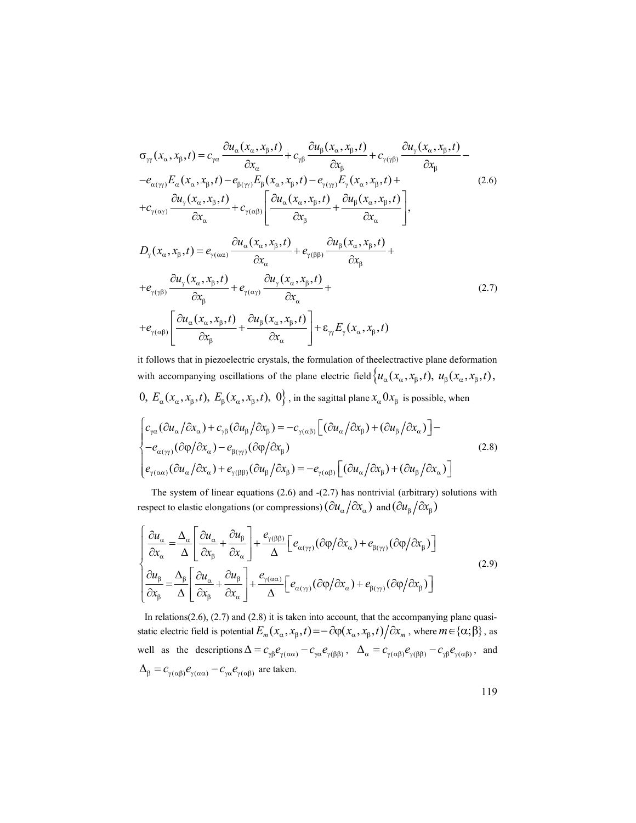$$
\sigma_{\gamma}(x_{\alpha}, x_{\beta}, t) = c_{\gamma\alpha} \frac{\partial u_{\alpha}(x_{\alpha}, x_{\beta}, t)}{\partial x_{\alpha}} + c_{\gamma\beta} \frac{\partial u_{\beta}(x_{\alpha}, x_{\beta}, t)}{\partial x_{\beta}} + c_{\gamma(\gamma\beta)} \frac{\partial u_{\gamma}(x_{\alpha}, x_{\beta}, t)}{\partial x_{\beta}} -
$$
\n
$$
-e_{\alpha(\gamma\gamma)} E_{\alpha}(x_{\alpha}, x_{\beta}, t) - e_{\beta(\gamma\gamma)} E_{\beta}(x_{\alpha}, x_{\beta}, t) - e_{\gamma(\gamma\gamma)} E_{\gamma}(x_{\alpha}, x_{\beta}, t) +
$$
\n
$$
+c_{\gamma(\alpha\gamma)} \frac{\partial u_{\gamma}(x_{\alpha}, x_{\beta}, t)}{\partial x_{\alpha}} + c_{\gamma(\alpha\beta)} \left[ \frac{\partial u_{\alpha}(x_{\alpha}, x_{\beta}, t)}{\partial x_{\beta}} + \frac{\partial u_{\beta}(x_{\alpha}, x_{\beta}, t)}{\partial x_{\alpha}} \right],
$$
\n
$$
D_{\gamma}(x_{\alpha}, x_{\beta}, t) = e_{\gamma(\alpha\alpha)} \frac{\partial u_{\alpha}(x_{\alpha}, x_{\beta}, t)}{\partial x_{\alpha}} + e_{\gamma(\beta\beta)} \frac{\partial u_{\beta}(x_{\alpha}, x_{\beta}, t)}{\partial x_{\beta}} +
$$
\n
$$
+e_{\gamma(\gamma\beta)} \frac{\partial u_{\gamma}(x_{\alpha}, x_{\beta}, t)}{\partial x_{\beta}} + e_{\gamma(\alpha\gamma)} \frac{\partial u_{\gamma}(x_{\alpha}, x_{\beta}, t)}{\partial x_{\alpha}} +
$$
\n
$$
+e_{\gamma(\alpha\beta)} \left[ \frac{\partial u_{\alpha}(x_{\alpha}, x_{\beta}, t)}{\partial x_{\beta}} + \frac{\partial u_{\beta}(x_{\alpha}, x_{\beta}, t)}{\partial x_{\alpha}} \right] + \varepsilon_{\gamma\gamma} E_{\gamma}(x_{\alpha}, x_{\beta}, t) \tag{2.7}
$$

it follows that in piezoelectric crystals, the formulation of theеlectractive plane deformation with accompanying oscillations of the plane electric field  $\{u_\alpha(x_\alpha, x_\beta, t), u_\beta(x_\alpha, x_\beta, t),\}$ 0,  $E_{\alpha}(x_{\alpha}, x_{\beta}, t)$ ,  $E_{\beta}(x_{\alpha}, x_{\beta}, t)$ , 0, in the sagittal plane  $x_{\alpha}$ 0 $x_{\beta}$  is possible, when

$$
\begin{cases} c_{\gamma\alpha}(\partial u_{\alpha}/\partial x_{\alpha}) + c_{\gamma\beta}(\partial u_{\beta}/\partial x_{\beta}) = -c_{\gamma(\alpha\beta)} \Big[ (\partial u_{\alpha}/\partial x_{\beta}) + (\partial u_{\beta}/\partial x_{\alpha}) \Big] - \\ -e_{\alpha(\gamma\gamma)}(\partial \varphi/\partial x_{\alpha}) - e_{\beta(\gamma\gamma)}(\partial \varphi/\partial x_{\beta}) \\ e_{\gamma(\alpha\alpha)}(\partial u_{\alpha}/\partial x_{\alpha}) + e_{\gamma(\beta\beta)}(\partial u_{\beta}/\partial x_{\beta}) = -e_{\gamma(\alpha\beta)} \Big[ (\partial u_{\alpha}/\partial x_{\beta}) + (\partial u_{\beta}/\partial x_{\alpha}) \Big] \end{cases}
$$
(2.8)

The system of linear equations  $(2.6)$  and  $-(2.7)$  has nontrivial (arbitrary) solutions with respect to elastic elongations (or compressions)  $(\partial u_\alpha/\partial x_\alpha)$  and  $(\partial u_\beta/\partial x_\beta)$ 

$$
\begin{cases}\n\frac{\partial u_{\alpha}}{\partial x_{\alpha}} = \frac{\Delta_{\alpha}}{\Delta} \left[ \frac{\partial u_{\alpha}}{\partial x_{\beta}} + \frac{\partial u_{\beta}}{\partial x_{\alpha}} \right] + \frac{e_{\gamma(\beta\beta)}}{\Delta} \left[ e_{\alpha(\gamma\gamma)} (\partial \phi / \partial x_{\alpha}) + e_{\beta(\gamma\gamma)} (\partial \phi / \partial x_{\beta}) \right] \\
\frac{\partial u_{\beta}}{\partial x_{\beta}} = \frac{\Delta_{\beta}}{\Delta} \left[ \frac{\partial u_{\alpha}}{\partial x_{\beta}} + \frac{\partial u_{\beta}}{\partial x_{\alpha}} \right] + \frac{e_{\gamma(\alpha\alpha)}}{\Delta} \left[ e_{\alpha(\gamma\gamma)} (\partial \phi / \partial x_{\alpha}) + e_{\beta(\gamma\gamma)} (\partial \phi / \partial x_{\beta}) \right]\n\end{cases} (2.9)
$$

In relations(2.6), (2.7) and (2.8) it is taken into account, that the accompanying plane quasistatic electric field is potential  $E_m(x_\alpha, x_\beta, t) = -\partial \varphi(x_\alpha, x_\beta, t) / \partial x_m$ , where  $m \in \{\alpha; \beta\}$ , as well as the descriptions  $\Delta = c_{\gamma\beta}e_{\gamma(\alpha\alpha)} - c_{\gamma\alpha}e_{\gamma(\beta\beta)}$ ,  $\Delta_{\alpha} = c_{\gamma(\alpha\beta)}e_{\gamma(\beta\beta)} - c_{\gamma\beta}e_{\gamma(\alpha\beta)}$ , and  $\Delta_{\beta} = c_{\gamma(\alpha\beta)} e_{\gamma(\alpha\alpha)} - c_{\gamma\alpha} e_{\gamma(\alpha\beta)}$  are taken.

119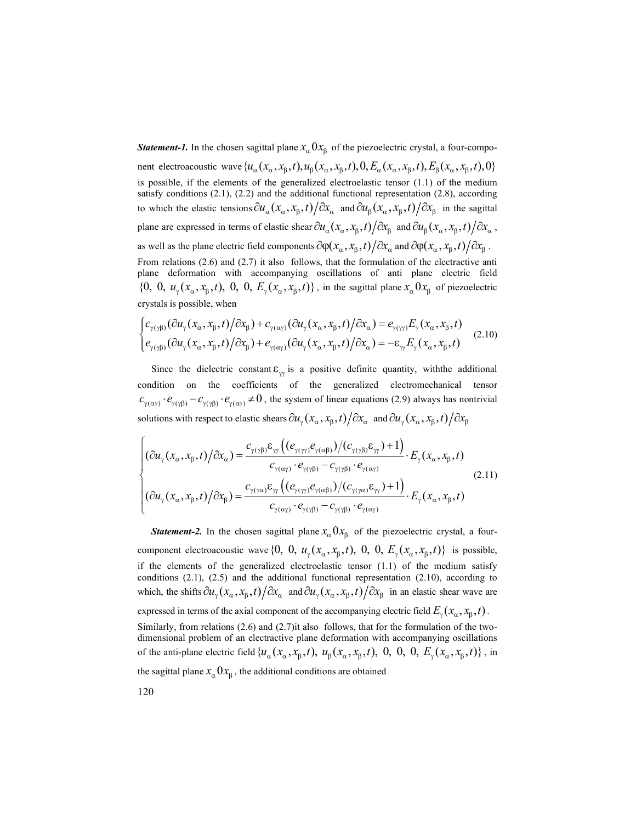**Statement-1.** In the chosen sagittal plane  $x_{\alpha}$ ,  $0x_{\beta}$  of the piezoelectric crystal, a four-compo-

nent electroacoustic wave  $\{u_\alpha(x_\alpha, x_\beta, t), u_\beta(x_\alpha, x_\beta, t), 0, E_\alpha(x_\alpha, x_\beta, t), E_\beta(x_\alpha, x_\beta, t), 0\}$ is possible, if the elements of the generalized electroelastic tensor (1.1) of the medium satisfy conditions (2.1), (2.2) and the additional functional representation (2.8), according to which the elastic tensions  $\partial u_\alpha (x_\alpha, x_\beta, t) / \partial x_\alpha$  and  $\partial u_\beta (x_\alpha, x_\beta, t) / \partial x_\beta$  in the sagittal plane are expressed in terms of elastic shear  $\partial u_\alpha (x_\alpha, x_\beta, t) / \partial x_\beta$  and  $\partial u_\beta (x_\alpha, x_\beta, t) / \partial x_\alpha$ , as well as the plane electric field components  $\partial \varphi(x_\alpha, x_\beta, t) / \partial x_\alpha$  and  $\partial \varphi(x_\alpha, x_\beta, t) / \partial x_\beta$ . From relations (2.6) and (2.7) it also follows, that the formulation of the electractive anti plane deformation with accompanying oscillations of anti plane electric field  $\{0, 0, u_{\gamma}(x_{\alpha}, x_{\beta}, t), 0, 0, E_{\gamma}(x_{\alpha}, x_{\beta}, t)\}\,$ , in the sagittal plane  $x_{\alpha} 0 x_{\beta}$  of piezoelectric crystals is possible, when  $\frac{\partial}{\partial x} \int_{\text{exp}}^{\text{exp}} \int_{\text{exp}}^{\text{exp}} \int_{\text{exp}}^{\text{exp}} \int_{\text{exp}}^{\text{exp}} \int_{\text{exp}}^{\text{exp}} \int_{\text{exp}}^{\text{exp}} \int_{\text{exp}}^{\text{exp}} \int_{\text{exp}}^{\text{exp}} \int_{\text{exp}}^{\text{exp}} \int_{\text{exp}}^{\text{exp}} \int_{\text{exp}}^{\text{exp}} \int_{\text{exp}}^{\text{exp}} \int_{\text{exp}}^{\text{exp}} \int_{\text{exp}}^{\text{exp}} \int_{\text{exp}}^{\text{exp}} \$ 

$$
\begin{cases} c_{\gamma(\gamma\beta)}(\partial u_{\gamma}(x_{\alpha},x_{\beta},t)/\partial x_{\beta}) + c_{\gamma(\alpha\gamma)}(\partial u_{\gamma}(x_{\alpha},x_{\beta},t)/\partial x_{\alpha}) = e_{\gamma(\gamma\gamma)}E_{\gamma}(x_{\alpha},x_{\beta},t) \\ e_{\gamma(\gamma\beta)}(\partial u_{\gamma}(x_{\alpha},x_{\beta},t)/\partial x_{\beta}) + e_{\gamma(\alpha\gamma)}(\partial u_{\gamma}(x_{\alpha},x_{\beta},t)/\partial x_{\alpha}) = -\varepsilon_{\gamma\gamma}E_{\gamma}(x_{\alpha},x_{\beta},t) \end{cases} (2.10)
$$

Since the dielectric constant  $\varepsilon_{\gamma}$  is a positive definite quantity, with the additional condition on the coefficients of the generalized electromechanical tensor  $c_{\gamma(\alpha\gamma)} \cdot e_{\gamma(\gamma\beta)} - c_{\gamma(\gamma\beta)} \cdot e_{\gamma(\alpha\gamma)} \neq 0$ , the system of linear equations (2.9) always has nontrivial solutions with respect to elastic shears  $\partial u_{\rm v} (x_{\alpha}, x_{\rm g}, t) / \partial x_{\alpha} \,$  and  $\partial u_{\rm v} (x_{\alpha}, x_{\rm g}, t) / \partial x_{\rm g}$ 

$$
\begin{cases}\n(\partial u_{\gamma}(x_{\alpha},x_{\beta},t)/\partial x_{\alpha}) = \frac{c_{\gamma(\gamma\beta)}\varepsilon_{\gamma\gamma}\left((e_{\gamma(\gamma\gamma)}e_{\gamma(\alpha\beta)})/(c_{\gamma(\gamma\beta)}\varepsilon_{\gamma\gamma})+1\right)}{c_{\gamma(\alpha\gamma)}\cdot e_{\gamma(\gamma\beta)}-c_{\gamma(\gamma\beta)}\cdot e_{\gamma(\alpha\gamma)}} \cdot E_{\gamma}(x_{\alpha},x_{\beta},t) \\
(\partial u_{\gamma}(x_{\alpha},x_{\beta},t)/\partial x_{\beta}) = \frac{c_{\gamma(\gamma\alpha)}\varepsilon_{\gamma\gamma}\left((e_{\gamma(\gamma\gamma)}e_{\gamma(\alpha\beta)})/(c_{\gamma(\gamma\alpha)}\varepsilon_{\gamma\gamma})+1\right)}{c_{\gamma(\alpha\gamma)}\cdot e_{\gamma(\gamma\beta)}-c_{\gamma(\gamma\beta)}\cdot e_{\gamma(\alpha\gamma)}} \cdot E_{\gamma}(x_{\alpha},x_{\beta},t)\n\end{cases} (2.11)
$$

**Statement-2.** In the chosen sagittal plane  $x_{\alpha}$  O $x_{\beta}$  of the piezoelectric crystal, a fourcomponent electroacoustic wave  $\{0, 0, u_{\nu}(x_{\alpha}, x_{\beta}, t), 0, 0, E_{\nu}(x_{\alpha}, x_{\beta}, t)\}\$ is possible, if the elements of the generalized electroelastic tensor (1.1) of the medium satisfy conditions (2.1), (2.5) and the additional functional representation (2.10), according to which, the shifts  $\partial u_y (x_\alpha, x_\beta, t) / \partial x_\alpha$  and  $\partial u_y (x_\alpha, x_\beta, t) / \partial x_\beta$  in an elastic shear wave are expressed in terms of the axial component of the accompanying electric field  $E_{\nu}(x_{\alpha}, x_{\beta}, t)$ . Similarly, from relations (2.6) and (2.7)it also follows, that for the formulation of the twodimensional problem of an electractive plane deformation with accompanying oscillations of the anti-plane electric field  $\{ u_\alpha(x_\alpha, x_\beta, t), u_\beta(x_\alpha, x_\beta, t), 0, 0, 0, E_\gamma(x_\alpha, x_\beta, t) \}$ , in the sagittal plane  $x_{\alpha}$ ,  $0x_{\beta}$ , the additional conditions are obtained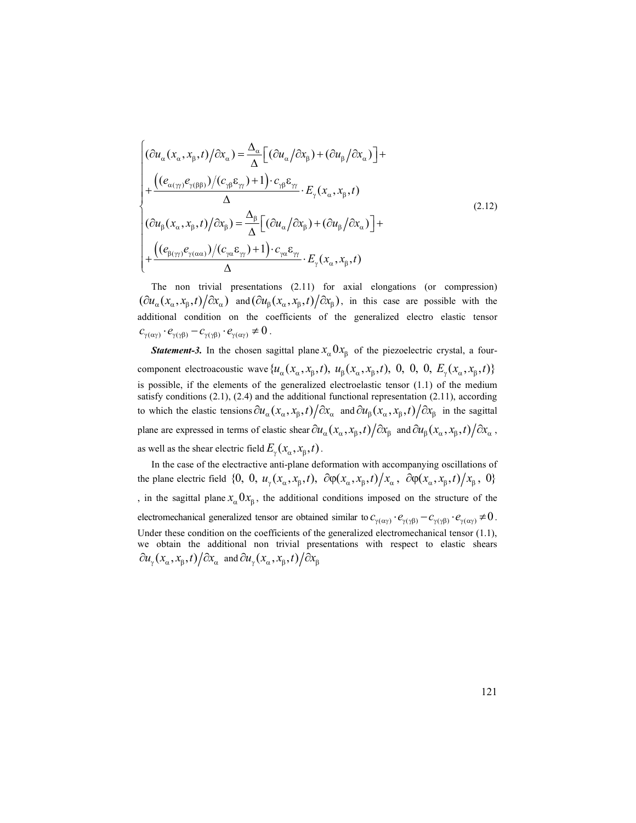$$
\begin{cases}\n(\partial u_{\alpha}(x_{\alpha},x_{\beta},t)/\partial x_{\alpha}) = \frac{\Delta_{\alpha}}{\Delta} \Big[ (\partial u_{\alpha}/\partial x_{\beta}) + (\partial u_{\beta}/\partial x_{\alpha}) \Big] + \\
+\frac{((e_{\alpha(\gamma)}e_{\gamma(\beta\beta)})/(c_{\gamma\beta}\varepsilon_{\gamma\prime})+1) \cdot c_{\gamma\beta}\varepsilon_{\gamma\prime}}{\Delta} \cdot E_{\gamma}(x_{\alpha},x_{\beta},t) \\
(\partial u_{\beta}(x_{\alpha},x_{\beta},t)/\partial x_{\beta}) = \frac{\Delta_{\beta}}{\Delta} \Big[ (\partial u_{\alpha}/\partial x_{\beta}) + (\partial u_{\beta}/\partial x_{\alpha}) \Big] + \\
+\frac{((e_{\beta(\gamma)}e_{\gamma(\alpha\alpha)})/(c_{\gamma\alpha}\varepsilon_{\gamma\prime})+1) \cdot c_{\gamma\alpha}\varepsilon_{\gamma\prime}}{\Delta} \cdot E_{\gamma}(x_{\alpha},x_{\beta},t)\n\end{cases}
$$
\nThe non trivial presentations (2.11) for axial elongations (or compression)  
\n $(\partial u_{\alpha}(x_{\alpha},x_{\beta},t)/\partial x_{\alpha})$  and  $(\partial u_{\beta}(x_{\alpha},x_{\beta},t)/\partial x_{\beta})$ , in this case are possible with the

The non trivial presentations (2.11) for axial elongations (or compression)  $(\partial u_\alpha (x_\alpha, x_\beta, t) / \partial x_\alpha)$  and  $(\partial u_\beta (x_\alpha, x_\beta, t) / \partial x_\beta)$ , in this case are possible with the additional condition on the coefficients of the generalized electro elastic tensor  $c_{\gamma(\alpha\gamma)} \cdot e_{\gamma(\gamma\beta)} - c_{\gamma(\gamma\beta)} \cdot e_{\gamma(\alpha\gamma)} \neq 0$ .

**Statement-3.** In the chosen sagittal plane  $x_a 0 x_8$  of the piezoelectric crystal, a fourcomponent electroacoustic wave  $\{u_\alpha(x_\alpha, x_\beta, t), u_\beta(x_\alpha, x_\beta, t), 0, 0, 0, E_\gamma(x_\alpha, x_\beta, t)\}\$ is possible, if the elements of the generalized electroelastic tensor (1.1) of the medium satisfy conditions (2.1), (2.4) and the additional functional representation (2.11), according to which the elastic tensions  $\partial u_\alpha (x_\alpha, x_\beta, t) / \partial x_\alpha$  and  $\partial u_\beta (x_\alpha, x_\beta, t) / \partial x_\beta$  in the sagittal plane are expressed in terms of elastic shear  $\partial u_\alpha(x_\alpha, x_\beta, t) / \partial x_\beta$  and  $\partial u_\beta(x_\alpha, x_\beta, t) / \partial x_\alpha$ , as well as the shear electric field  $E_{\gamma}(x_{\alpha}, x_{\beta}, t)$ .

In the case of the electractive anti-plane deformation with accompanying oscillations of the plane electric field  $\{0, 0, u_{\gamma}(x_{\alpha}, x_{\beta}, t), \partial \phi(x_{\alpha}, x_{\beta}, t)/x_{\alpha}, \partial \phi(x_{\alpha}, x_{\beta}, t)/x_{\beta}, 0\}$ , in the sagittal plane  $x_{\alpha}$ ,  $0x_{\beta}$ , the additional conditions imposed on the structure of the electromechanical generalized tensor are obtained similar to  $c_{\gamma(\alpha\gamma)} \cdot e_{\gamma(\gamma\beta)} - c_{\gamma(\gamma\beta)} \cdot e_{\gamma(\alpha\gamma)} \neq 0$ . Under these condition on the coefficients of the generalized electromechanical tensor (1.1), we obtain the additional non trivial presentations with respect to elastic shears  $\partial u_{\gamma}(x_{\alpha}, x_{\beta}, t) / \partial x_{\alpha}$  and  $\partial u_{\gamma}(x_{\alpha}, x_{\beta}, t) / \partial x_{\beta}$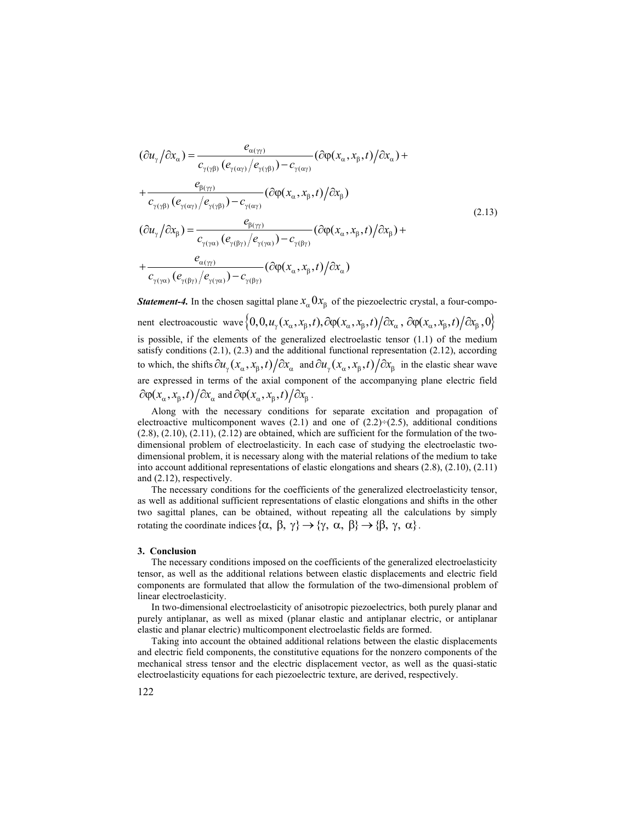$$
(\partial u_{\gamma}/\partial x_{\alpha}) = \frac{e_{\alpha(\gamma\gamma)}}{c_{\gamma(\gamma\beta)}(e_{\gamma(\alpha\gamma)}/e_{\gamma(\gamma\beta)}) - c_{\gamma(\alpha\gamma)}} (\partial \varphi(x_{\alpha}, x_{\beta}, t)/\partial x_{\alpha}) + + \frac{e_{\beta(\gamma\gamma)}}{c_{\gamma(\gamma\beta)}(e_{\gamma(\alpha\gamma)}/e_{\gamma(\gamma\beta)}) - c_{\gamma(\alpha\gamma)}} (\partial \varphi(x_{\alpha}, x_{\beta}, t)/\partial x_{\beta}) (\partial u_{\gamma}/\partial x_{\beta}) = \frac{e_{\beta(\gamma\gamma)}}{c_{\gamma(\gamma\alpha)}(e_{\gamma(\beta\gamma)}/e_{\gamma(\gamma\alpha)}) - c_{\gamma(\beta\gamma)}} (\partial \varphi(x_{\alpha}, x_{\beta}, t)/\partial x_{\beta}) + + \frac{e_{\alpha(\gamma\gamma)}}{c_{\gamma(\gamma\alpha)}(e_{\gamma(\beta\gamma)}/e_{\gamma(\gamma\alpha)}) - c_{\gamma(\beta\gamma)}} (\partial \varphi(x_{\alpha}, x_{\beta}, t)/\partial x_{\alpha})
$$
(2.13)

**Statement-4.** In the chosen sagittal plane  $x_{\alpha}$ ,  $0x_{\beta}$  of the piezoelectric crystal, a four-component electroacoustic wave  $\{0, 0, u_{\gamma}(x_{\alpha}, x_{\beta}, t), \partial \varphi(x_{\alpha}, x_{\beta}, t) / \partial x_{\alpha}, \partial \varphi(x_{\alpha}, x_{\beta}, t) / \partial x_{\beta}, 0\}$ is possible, if the elements of the generalized electroelastic tensor (1.1) of the medium satisfy conditions  $(2.1)$ ,  $(2.3)$  and the additional functional representation  $(2.12)$ , according to which, the shifts  $\partial u_y (x_\alpha, x_\beta, t) / \partial x_\alpha$  and  $\partial u_y (x_\alpha, x_\beta, t) / \partial x_\beta$  in the elastic shear wave are expressed in terms of the axial component of the accompanying plane electric field  $\partial \varphi(x_\alpha, x_\beta, t) / \partial x_\alpha$  and  $\partial \varphi(x_\alpha, x_\beta, t) / \partial x_\beta$ .

Along with the necessary conditions for separate excitation and propagation of electroactive multicomponent waves  $(2.1)$  and one of  $(2.2) \div (2.5)$ , additional conditions (2.8), (2.10), (2.11), (2.12) are obtained, which are sufficient for the formulation of the twodimensional problem of electroelasticity. In each case of studying the electroelastic twodimensional problem, it is necessary along with the material relations of the medium to take into account additional representations of elastic elongations and shears (2.8), (2.10), (2.11) and (2.12), respectively.

The necessary conditions for the coefficients of the generalized electroelasticity tensor, as well as additional sufficient representations of elastic elongations and shifts in the other two sagittal planes, can be obtained, without repeating all the calculations by simply rotating the coordinate indices  $\{\alpha, \beta, \gamma\} \rightarrow \{\gamma, \alpha, \beta\} \rightarrow \{\beta, \gamma, \alpha\}.$ 

#### 3. Conclusion

The necessary conditions imposed on the coefficients of the generalized electroelasticity tensor, as well as the additional relations between elastic displacements and electric field components are formulated that allow the formulation of the two-dimensional problem of linear electroelasticity.

In two-dimensional electroelasticity of anisotropic piezoelectrics, both purely planar and purely antiplanar, as well as mixed (planar elastic and antiplanar electric, or antiplanar elastic and planar electric) multicomponent electroelastic fields are formed.

Taking into account the obtained additional relations between the elastic displacements and electric field components, the constitutive equations for the nonzero components of the mechanical stress tensor and the electric displacement vector, as well as the quasi-static electroelasticity equations for each piezoelectric texture, are derived, respectively.